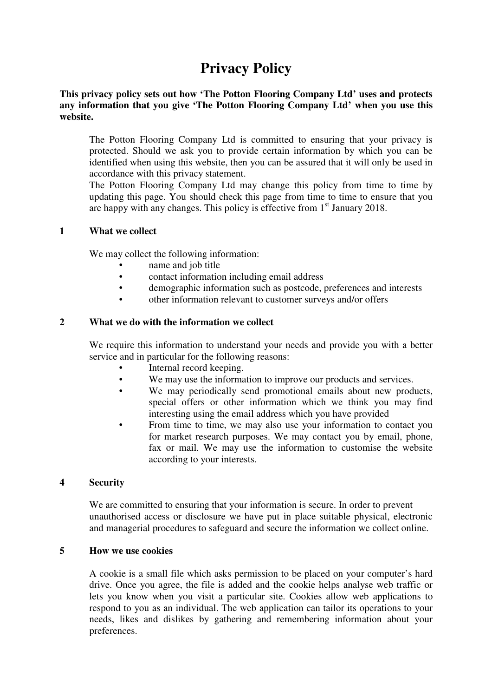# **Privacy Policy**

#### **This privacy policy sets out how 'The Potton Flooring Company Ltd' uses and protects any information that you give 'The Potton Flooring Company Ltd' when you use this website.**

The Potton Flooring Company Ltd is committed to ensuring that your privacy is protected. Should we ask you to provide certain information by which you can be identified when using this website, then you can be assured that it will only be used in accordance with this privacy statement.

The Potton Flooring Company Ltd may change this policy from time to time by updating this page. You should check this page from time to time to ensure that you are happy with any changes. This policy is effective from  $1<sup>st</sup>$  January 2018.

#### **1 What we collect**

We may collect the following information:

- name and job title
- contact information including email address
- demographic information such as postcode, preferences and interests
- other information relevant to customer surveys and/or offers

## **2 What we do with the information we collect**

We require this information to understand your needs and provide you with a better service and in particular for the following reasons:

- Internal record keeping.
- We may use the information to improve our products and services.
- We may periodically send promotional emails about new products, special offers or other information which we think you may find interesting using the email address which you have provided
- From time to time, we may also use your information to contact you for market research purposes. We may contact you by email, phone, fax or mail. We may use the information to customise the website according to your interests.

## **4 Security**

We are committed to ensuring that your information is secure. In order to prevent unauthorised access or disclosure we have put in place suitable physical, electronic and managerial procedures to safeguard and secure the information we collect online.

#### **5 How we use cookies**

A cookie is a small file which asks permission to be placed on your computer's hard drive. Once you agree, the file is added and the cookie helps analyse web traffic or lets you know when you visit a particular site. Cookies allow web applications to respond to you as an individual. The web application can tailor its operations to your needs, likes and dislikes by gathering and remembering information about your preferences.